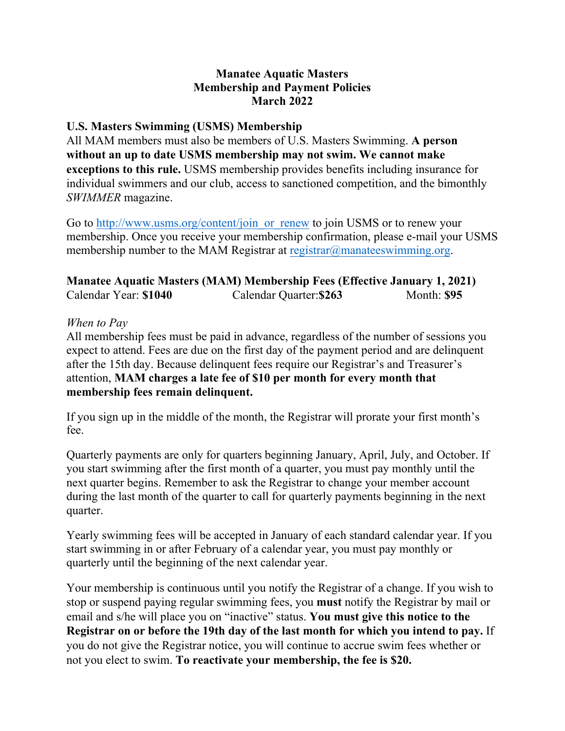### **Manatee Aquatic Masters Membership and Payment Policies March 2022**

## **U.S. Masters Swimming (USMS) Membership**

All MAM members must also be members of U.S. Masters Swimming. **A person without an up to date USMS membership may not swim. We cannot make exceptions to this rule.** USMS membership provides benefits including insurance for individual swimmers and our club, access to sanctioned competition, and the bimonthly *SWIMMER* magazine.

Go to http://www.usms.org/content/join or renew to join USMS or to renew your membership. Once you receive your membership confirmation, please e-mail your USMS membership number to the MAM Registrar at [registrar@manateeswimming.org](mailto:registrar@manateeswimming.org?subject=MAM%20USMS%20Number).

## **Manatee Aquatic Masters (MAM) Membership Fees (Effective January 1, 2021)**  Calendar Year: **\$1040** Calendar Quarter:**\$263** Month: **\$95**

#### *When to Pay*

All membership fees must be paid in advance, regardless of the number of sessions you expect to attend. Fees are due on the first day of the payment period and are delinquent after the 15th day. Because delinquent fees require our Registrar's and Treasurer's attention, **MAM charges a late fee of \$10 per month for every month that membership fees remain delinquent.**

If you sign up in the middle of the month, the Registrar will prorate your first month's fee.

Quarterly payments are only for quarters beginning January, April, July, and October. If you start swimming after the first month of a quarter, you must pay monthly until the next quarter begins. Remember to ask the Registrar to change your member account during the last month of the quarter to call for quarterly payments beginning in the next quarter.

Yearly swimming fees will be accepted in January of each standard calendar year. If you start swimming in or after February of a calendar year, you must pay monthly or quarterly until the beginning of the next calendar year.

Your membership is continuous until you notify the Registrar of a change. If you wish to stop or suspend paying regular swimming fees, you **must** notify the Registrar by mail or email and s/he will place you on "inactive" status. **You must give this notice to the Registrar on or before the 19th day of the last month for which you intend to pay.** If you do not give the Registrar notice, you will continue to accrue swim fees whether or not you elect to swim. **To reactivate your membership, the fee is \$20.**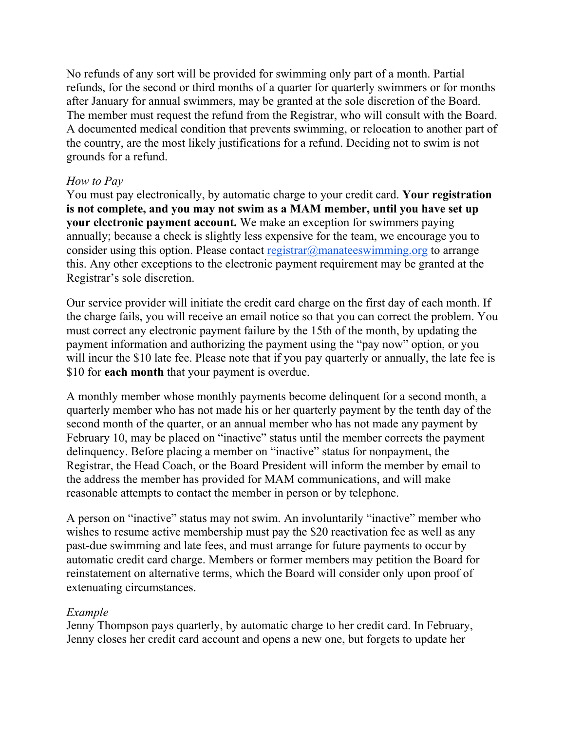No refunds of any sort will be provided for swimming only part of a month. Partial refunds, for the second or third months of a quarter for quarterly swimmers or for months after January for annual swimmers, may be granted at the sole discretion of the Board. The member must request the refund from the Registrar, who will consult with the Board. A documented medical condition that prevents swimming, or relocation to another part of the country, are the most likely justifications for a refund. Deciding not to swim is not grounds for a refund.

## *How to Pay*

You must pay electronically, by automatic charge to your credit card. **Your registration is not complete, and you may not swim as a MAM member, until you have set up your electronic payment account.** We make an exception for swimmers paying annually; because a check is slightly less expensive for the team, we encourage you to consider using this option. Please contact [registrar@manateeswimming.org](mailto:registrar@manateeswimming.org) to arrange this. Any other exceptions to the electronic payment requirement may be granted at the Registrar's sole discretion.

Our service provider will initiate the credit card charge on the first day of each month. If the charge fails, you will receive an email notice so that you can correct the problem. You must correct any electronic payment failure by the 15th of the month, by updating the payment information and authorizing the payment using the "pay now" option, or you will incur the \$10 late fee. Please note that if you pay quarterly or annually, the late fee is \$10 for **each month** that your payment is overdue.

A monthly member whose monthly payments become delinquent for a second month, a quarterly member who has not made his or her quarterly payment by the tenth day of the second month of the quarter, or an annual member who has not made any payment by February 10, may be placed on "inactive" status until the member corrects the payment delinquency. Before placing a member on "inactive" status for nonpayment, the Registrar, the Head Coach, or the Board President will inform the member by email to the address the member has provided for MAM communications, and will make reasonable attempts to contact the member in person or by telephone.

A person on "inactive" status may not swim. An involuntarily "inactive" member who wishes to resume active membership must pay the \$20 reactivation fee as well as any past-due swimming and late fees, and must arrange for future payments to occur by automatic credit card charge. Members or former members may petition the Board for reinstatement on alternative terms, which the Board will consider only upon proof of extenuating circumstances.

#### *Example*

Jenny Thompson pays quarterly, by automatic charge to her credit card. In February, Jenny closes her credit card account and opens a new one, but forgets to update her